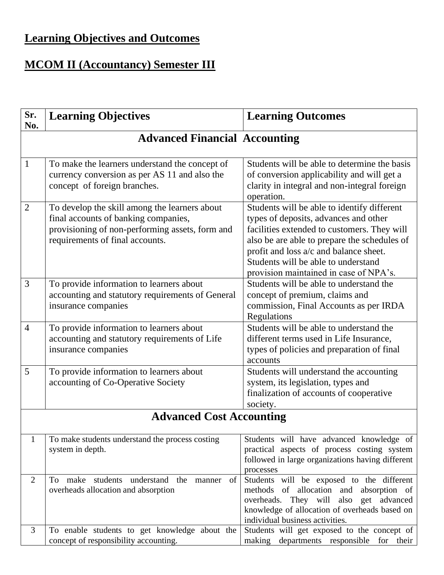## **Learning Objectives and Outcomes**

## **MCOM II (Accountancy) Semester III**

| Sr.<br>No.     | <b>Learning Objectives</b>                                                                                                                                                  | <b>Learning Outcomes</b>                                                                                                                                                                                                                                                                                       |  |  |
|----------------|-----------------------------------------------------------------------------------------------------------------------------------------------------------------------------|----------------------------------------------------------------------------------------------------------------------------------------------------------------------------------------------------------------------------------------------------------------------------------------------------------------|--|--|
|                | <b>Advanced Financial Accounting</b>                                                                                                                                        |                                                                                                                                                                                                                                                                                                                |  |  |
| 1              | To make the learners understand the concept of<br>currency conversion as per AS 11 and also the<br>concept of foreign branches.                                             | Students will be able to determine the basis<br>of conversion applicability and will get a<br>clarity in integral and non-integral foreign<br>operation.                                                                                                                                                       |  |  |
| $\overline{2}$ | To develop the skill among the learners about<br>final accounts of banking companies,<br>provisioning of non-performing assets, form and<br>requirements of final accounts. | Students will be able to identify different<br>types of deposits, advances and other<br>facilities extended to customers. They will<br>also be are able to prepare the schedules of<br>profit and loss a/c and balance sheet.<br>Students will be able to understand<br>provision maintained in case of NPA's. |  |  |
| 3              | To provide information to learners about<br>accounting and statutory requirements of General<br>insurance companies                                                         | Students will be able to understand the<br>concept of premium, claims and<br>commission, Final Accounts as per IRDA<br>Regulations                                                                                                                                                                             |  |  |
| $\overline{4}$ | To provide information to learners about<br>accounting and statutory requirements of Life<br>insurance companies                                                            | Students will be able to understand the<br>different terms used in Life Insurance,<br>types of policies and preparation of final<br>accounts                                                                                                                                                                   |  |  |
| 5              | To provide information to learners about<br>accounting of Co-Operative Society                                                                                              | Students will understand the accounting<br>system, its legislation, types and<br>finalization of accounts of cooperative<br>society.                                                                                                                                                                           |  |  |
|                | <b>Advanced Cost Accounting</b>                                                                                                                                             |                                                                                                                                                                                                                                                                                                                |  |  |
| $\mathbf{1}$   | To make students understand the process costing<br>system in depth.                                                                                                         | Students will have advanced knowledge of<br>practical aspects of process costing system<br>followed in large organizations having different<br>processes                                                                                                                                                       |  |  |
| $\overline{2}$ | make students understand the<br>manner<br><sub>of</sub><br>To<br>overheads allocation and absorption                                                                        | Students will be exposed to the different<br>methods of allocation and absorption of<br>overheads. They will also get advanced<br>knowledge of allocation of overheads based on<br>individual business activities.                                                                                             |  |  |
| 3              | To enable students to get knowledge about the<br>concept of responsibility accounting.                                                                                      | Students will get exposed to the concept of<br>making departments responsible for their                                                                                                                                                                                                                        |  |  |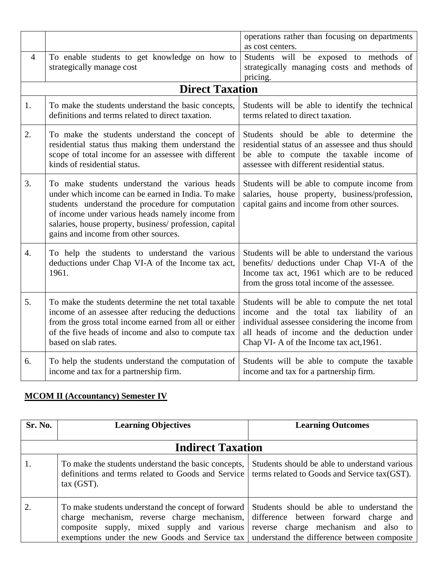|                |                                                                                                                                                                                                                                                                                                                | operations rather than focusing on departments<br>as cost centers.                                                                                                                                                                     |  |  |  |
|----------------|----------------------------------------------------------------------------------------------------------------------------------------------------------------------------------------------------------------------------------------------------------------------------------------------------------------|----------------------------------------------------------------------------------------------------------------------------------------------------------------------------------------------------------------------------------------|--|--|--|
| $\overline{4}$ | To enable students to get knowledge on how to<br>strategically manage cost                                                                                                                                                                                                                                     | Students will be exposed to methods of<br>strategically managing costs and methods of<br>pricing.                                                                                                                                      |  |  |  |
|                | <b>Direct Taxation</b>                                                                                                                                                                                                                                                                                         |                                                                                                                                                                                                                                        |  |  |  |
| 1.             | To make the students understand the basic concepts,<br>definitions and terms related to direct taxation.                                                                                                                                                                                                       | Students will be able to identify the technical<br>terms related to direct taxation.                                                                                                                                                   |  |  |  |
| 2.             | To make the students understand the concept of<br>residential status thus making them understand the<br>scope of total income for an assessee with different<br>kinds of residential status.                                                                                                                   | Students should be able to determine the<br>residential status of an assessee and thus should<br>be able to compute the taxable income of<br>assessee with different residential status.                                               |  |  |  |
| 3.             | To make students understand the various heads<br>under which income can be earned in India. To make<br>students understand the procedure for computation<br>of income under various heads namely income from<br>salaries, house property, business/profession, capital<br>gains and income from other sources. | Students will be able to compute income from<br>salaries, house property, business/profession,<br>capital gains and income from other sources.                                                                                         |  |  |  |
| 4.             | To help the students to understand the various<br>deductions under Chap VI-A of the Income tax act,<br>1961.                                                                                                                                                                                                   | Students will be able to understand the various<br>benefits/ deductions under Chap VI-A of the<br>Income tax act, 1961 which are to be reduced<br>from the gross total income of the assessee.                                         |  |  |  |
| 5.             | To make the students determine the net total taxable<br>income of an assessee after reducing the deductions<br>from the gross total income earned from all or either<br>of the five heads of income and also to compute tax<br>based on slab rates.                                                            | Students will be able to compute the net total<br>income and the total tax liability of an<br>individual assessee considering the income from<br>all heads of income and the deduction under<br>Chap VI-A of the Income tax act, 1961. |  |  |  |
| 6.             | To help the students understand the computation of<br>income and tax for a partnership firm.                                                                                                                                                                                                                   | Students will be able to compute the taxable<br>income and tax for a partnership firm.                                                                                                                                                 |  |  |  |

## **MCOM II (Accountancy) Semester IV**

| Sr. No.                  | <b>Learning Objectives</b>                                                                                                                                                                                                                                                                                                    | <b>Learning Outcomes</b>                                                                       |
|--------------------------|-------------------------------------------------------------------------------------------------------------------------------------------------------------------------------------------------------------------------------------------------------------------------------------------------------------------------------|------------------------------------------------------------------------------------------------|
| <b>Indirect Taxation</b> |                                                                                                                                                                                                                                                                                                                               |                                                                                                |
| 1.                       | To make the students understand the basic concepts,<br>definitions and terms related to Goods and Service<br>tax(GST).                                                                                                                                                                                                        | Students should be able to understand various<br>terms related to Goods and Service tax (GST). |
| 2.                       | To make students understand the concept of forward Students should be able to understand the<br>charge mechanism, reverse charge mechanism, difference between forward charge and<br>composite supply, mixed supply and various<br>exemptions under the new Goods and Service tax understand the difference between composite | reverse charge mechanism and also to                                                           |